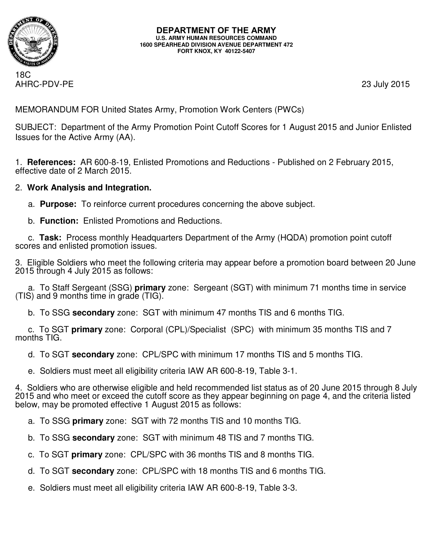

**DEPARTMENT OF THE ARMY U.S. ARMY HUMAN RESOURCES COMMAND 1600 SPEARHEAD DIVISION AVENUE DEPARTMENT 472 FORT KNOX, KY 40122-5407**

18C AHRC-PDV-PE 23 July 2015

MEMORANDUM FOR United States Army, Promotion Work Centers (PWCs)

SUBJECT: Department of the Army Promotion Point Cutoff Scores for 1 August 2015 and Junior Enlisted Issues for the Active Army (AA).

1. **References:** AR 600-8-19, Enlisted Promotions and Reductions - Published on 2 February 2015, effective date of 2 March 2015.

# 2. **Work Analysis and Integration.**

- a. **Purpose:** To reinforce current procedures concerning the above subject.
- b. **Function:** Enlisted Promotions and Reductions.

 c. **Task:** Process monthly Headquarters Department of the Army (HQDA) promotion point cutoff scores and enlisted promotion issues.

3. Eligible Soldiers who meet the following criteria may appear before a promotion board between 20 June 2015 through 4 July 2015 as follows:

 a. To Staff Sergeant (SSG) **primary** zone: Sergeant (SGT) with minimum 71 months time in service (TIS) and 9 months time in grade (TIG).

b. To SSG **secondary** zone: SGT with minimum 47 months TIS and 6 months TIG.

 c. To SGT **primary** zone: Corporal (CPL)/Specialist (SPC) with minimum 35 months TIS and 7 months TIG.

d. To SGT **secondary** zone: CPL/SPC with minimum 17 months TIS and 5 months TIG.

e. Soldiers must meet all eligibility criteria IAW AR 600-8-19, Table 3-1.

4. Soldiers who are otherwise eligible and held recommended list status as of 20 June 2015 through 8 July 2015 and who meet or exceed the cutoff score as they appear beginning on page 4, and the criteria listed below, may be promoted effective 1 August 2015 as follows:

a. To SSG **primary** zone: SGT with 72 months TIS and 10 months TIG.

b. To SSG **secondary** zone: SGT with minimum 48 TIS and 7 months TIG.

c. To SGT **primary** zone: CPL/SPC with 36 months TIS and 8 months TIG.

d. To SGT **secondary** zone: CPL/SPC with 18 months TIS and 6 months TIG.

e. Soldiers must meet all eligibility criteria IAW AR 600-8-19, Table 3-3.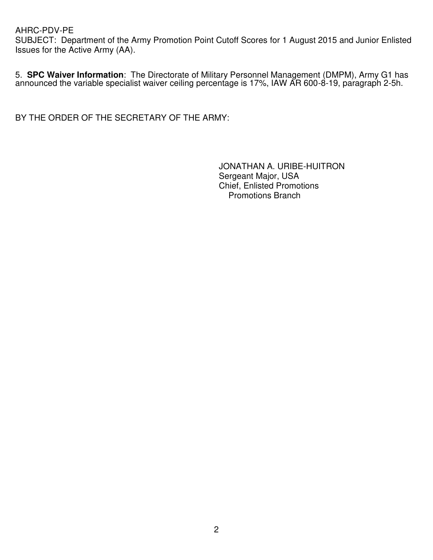SUBJECT: Department of the Army Promotion Point Cutoff Scores for 1 August 2015 and Junior Enlisted Issues for the Active Army (AA).

5. **SPC Waiver Information**: The Directorate of Military Personnel Management (DMPM), Army G1 has announced the variable specialist waiver ceiling percentage is 17%, IAW AR 600-8-19, paragraph 2-5h.

BY THE ORDER OF THE SECRETARY OF THE ARMY:

JONATHAN A. URIBE-HUITRON Sergeant Major, USA Chief, Enlisted Promotions Promotions Branch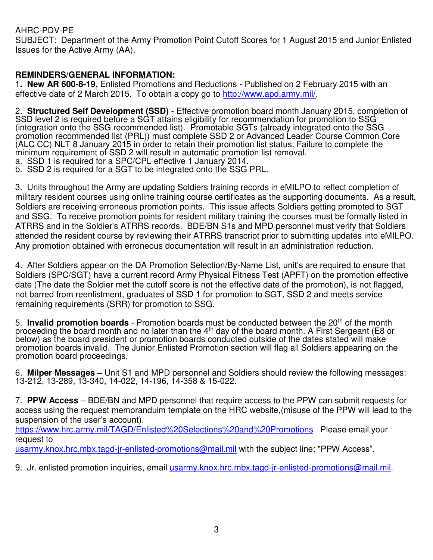SUBJECT: Department of the Army Promotion Point Cutoff Scores for 1 August 2015 and Junior Enlisted Issues for the Active Army (AA).

# **REMINDERS/GENERAL INFORMATION:**

1**. New AR 600-8-19,** Enlisted Promotions and Reductions - Published on 2 February 2015 with an effective date of 2 March 2015. To obtain a copy go to [http://www.apd.army.mil/.](http://www.apd.army.mil/)

2. **Structured Self Development (SSD)** - Effective promotion board month January 2015, completion of SSD level 2 is required before a SGT attains eligibility for recommendation for promotion to SSG (integration onto the SSG recommended list). Promotable SGTs (already integrated onto the SSG promotion recommended list (PRL)) must complete SSD 2 or Advanced Leader Course Common Core (ALC CC) NLT 8 January 2015 in order to retain their promotion list status. Failure to complete the minimum requirement of SSD 2 will result in automatic promotion list removal.

a. SSD 1 is required for a SPC/CPL effective 1 January 2014.

b. SSD 2 is required for a SGT to be integrated onto the SSG PRL.

3. Units throughout the Army are updating Soldiers training records in eMILPO to reflect completion of military resident courses using online training course certificates as the supporting documents. As a result, Soldiers are receiving erroneous promotion points. This issue affects Soldiers getting promoted to SGT and SSG. To receive promotion points for resident military training the courses must be formally listed in ATRRS and in the Soldier's ATRRS records. BDE/BN S1s and MPD personnel must verify that Soldiers attended the resident course by reviewing their ATRRS transcript prior to submitting updates into eMILPO. Any promotion obtained with erroneous documentation will result in an administration reduction.

4. After Soldiers appear on the DA Promotion Selection/By-Name List, unit's are required to ensure that Soldiers (SPC/SGT) have a current record Army Physical Fitness Test (APFT) on the promotion effective date (The date the Soldier met the cutoff score is not the effective date of the promotion), is not flagged, not barred from reenlistment, graduates of SSD 1 for promotion to SGT, SSD 2 and meets service remaining requirements (SRR) for promotion to SSG.

5. **Invalid promotion boards** - Promotion boards must be conducted between the 20<sup>th</sup> of the month proceeding the board month and no later than the 4<sup>th</sup> day of the board month. A First Sergeant (E8 or below) as the board president or promotion boards conducted outside of the dates stated will make promotion boards invalid. The Junior Enlisted Promotion section will flag all Soldiers appearing on the promotion board proceedings.

6. **Milper Messages** – Unit S1 and MPD personnel and Soldiers should review the following messages: 13-212, 13-289, 13-340, 14-022, 14-196, 14-358 & 15-022.

7. **PPW Access** – BDE/BN and MPD personnel that require access to the PPW can submit requests for access using the request memoranduim template on the HRC website,(misuse of the PPW will lead to the suspension of the user's account).

<https://www.hrc.army.mil/TAGD/Enlisted%20Selections%20and%20Promotions>Please email your request to

usarmy.knox.hrc.mbx.tagd-ir-enlisted-promotions@mail.mil with the subject line: "PPW Access".

9. Jr. enlisted promotion inquiries, email [usarmy.knox.hrc.mbx.tagd-jr-enlisted-promotions@mail.mil.](mailto:usarmy.knox.hrc.mbx.tagd-jr-enlisted-promotions@mail.mil)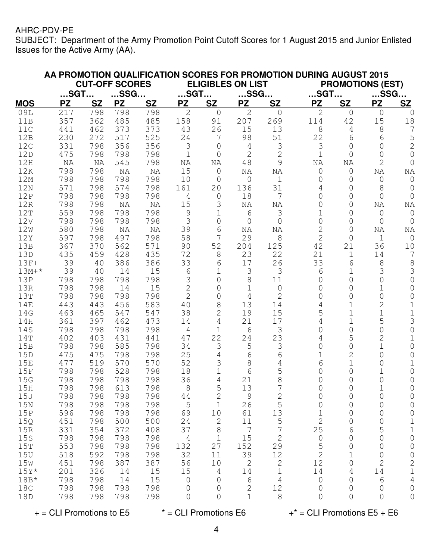SUBJECT: Department of the Army Promotion Point Cutoff Scores for 1 August 2015 and Junior Enlisted Issues for the Active Army (AA).

|                 |                                           |            |            |            |                                                    |                |                |                | AA PROMOTION QUALIFICATION SCORES FOR PROMOTION DURING AUGUST 2015 |                |                         |                |
|-----------------|-------------------------------------------|------------|------------|------------|----------------------------------------------------|----------------|----------------|----------------|--------------------------------------------------------------------|----------------|-------------------------|----------------|
|                 | <b>CUT-OFF SCORES</b><br>SSG<br>$$ SGT $$ |            |            |            | <b>ELIGIBLES ON LIST</b><br>$$ SGT $$<br>$$ SSG $$ |                |                |                |                                                                    |                | <b>PROMOTIONS (EST)</b> |                |
|                 |                                           |            |            |            |                                                    |                |                |                | $$ SGT $$                                                          |                | $$ SSG $$               |                |
| <b>MOS</b>      | <b>PZ</b>                                 | <b>SZ</b>  | <b>PZ</b>  | <b>SZ</b>  | <b>PZ</b>                                          | <b>SZ</b>      | <b>PZ</b>      | <b>SZ</b>      | <b>PZ</b>                                                          | <b>SZ</b>      | <b>PZ</b>               | <b>SZ</b>      |
| 09L             | 217                                       | 798        | 798        | 798        | $\mathbf{2}$                                       | $\circ$        | $\overline{2}$ | 0              | $\overline{2}$                                                     | 0<br>42        | $\circ$                 | 0              |
| 11B<br>11C      | 357<br>441                                | 362<br>462 | 485<br>373 | 485<br>373 | 158<br>43                                          | 91<br>26       | 207<br>15      | 269<br>13      | 114<br>8                                                           | 4              | 15<br>8                 | 18<br>7        |
| 12B             | 230                                       | 272        | 517        | 525        | 24                                                 | 7              | 98             | 51             | 22                                                                 | 6              | 6                       | 5              |
| 12C             | 331                                       | 798        | 356        | 356        | 3                                                  | $\mathbf 0$    | 4              | 3              | 3                                                                  | 0              | $\overline{0}$          | $\overline{c}$ |
| 12D             | 475                                       | 798        | 798        | 798        | $\mathbf 1$                                        | $\overline{0}$ | $\mathbf{2}$   | $\overline{2}$ | $\mathbf 1$                                                        | 0              | $\overline{0}$          | $\circ$        |
| 12H             | NA                                        | NA         | 545        | 798        | NA                                                 | ΝA             | 48             | 9              | NA                                                                 | NA             | $\overline{2}$          | $\circledcirc$ |
| 12K             | 798                                       | 798        | NA         | NA         | 15                                                 | $\mathbf 0$    | ΝA             | ΝA             | $\mathsf{O}\xspace$                                                | 0              | NA                      | NA             |
| 12M             | 798                                       | 798        | 798        | 798        | 10                                                 | $\overline{0}$ | $\mathbf 0$    | $\mathbf 1$    | $\mathbf 0$                                                        | 0              | 0                       | $\circ$        |
| 12N             | 571                                       | 798        | 574        | 798        | 161                                                | 20             | 136            | 31             | 4                                                                  | 0              | 8                       | $\overline{0}$ |
| 12P             | 798                                       | 798        | 798        | 798        | $\overline{4}$                                     | $\mathbf 0$    | 18             | 7              | $\overline{O}$                                                     | 0              | $\overline{0}$          | $\overline{0}$ |
| 12R             | 798                                       | 798        | NA         | NA         | 15                                                 | 3              | ΝA             | ΝA             | 0                                                                  | 0              | ΝA                      | NA             |
| 12T             | 559                                       | 798        | 798        | 798        | $\mathsf 9$                                        | $\mathbf 1$    | 6              | 3              | 1                                                                  | 0              | 0                       | $\mathbf 0$    |
| 12V             | 798                                       | 798        | 798        | 798        | 3                                                  | 0              | 0              | $\overline{0}$ | $\overline{O}$                                                     | 0              | 0                       | 0              |
| 12W             | 580                                       | 798        | NA         | NA         | 39                                                 | 6              | ΝA             | ΝA             | $\overline{2}$                                                     | 0              | ΝA                      | NA             |
| 12Y             | 597                                       | 798        | 497        | 798        | 58                                                 | 7              | 29             | 8              | $\overline{2}$                                                     | 0              | $\mathbf{1}$            | $\overline{0}$ |
| 13B             | 367                                       | 370        | 562        | 571        | 90                                                 | 52             | 204            | 125            | 42                                                                 | 21             | 36                      | 10             |
| 13D             | 435                                       | 459        | 428        | 435        | 72                                                 | 8              | 23             | 22             | 21                                                                 | 1              | 14                      | 7              |
| $13F+$          | 39                                        | 40         | 386        | 386        | 33                                                 | 6              | 17             | 26             | 33                                                                 | 6              | 8                       | 8              |
| $13M+*$         | 39                                        | 40         | 14         | 15         | 6                                                  | 1              | 3              | 3              | 6                                                                  | 1              | 3                       | 3              |
| 13P             | 798                                       | 798        | 798        | 798        | 3                                                  | $\overline{0}$ | 8              | 11             | 0                                                                  | 0              | $\overline{0}$          | $\overline{0}$ |
| 13R             | 798                                       | 798        | 14         | 15         | $\overline{2}$                                     | $\overline{O}$ | $\mathbf 1$    | $\circ$        | 0                                                                  | 0              | $\mathbf{1}$            | 0              |
| 13T             | 798                                       | 798        | 798        | 798        | $\overline{2}$                                     | $\overline{O}$ | 4              | $\overline{2}$ | 0                                                                  | 0              | $\overline{0}$          | 0              |
| <b>14E</b>      | 443                                       | 443        | 456        | 583        | 40                                                 | 8              | 13             | 14             | 4                                                                  | 1              | $\overline{2}$          | $\mathbf 1$    |
| 14G             | 463                                       | 465        | 547        | 547        | 38                                                 | $\overline{2}$ | 19             | 15             | 5                                                                  | 1              | $\mathbf 1$             | $\mathbf 1$    |
| 14H             | 361                                       | 397        | 462        | 473        | 14                                                 | 4              | 21             | 17             | 4                                                                  | 1              | 5                       | 3              |
| 14S             | 798                                       | 798        | 798        | 798        | 4                                                  | 1              | 6              | 3              | 0                                                                  | 0              | $\Omega$                | $\overline{0}$ |
| 14T             | 402                                       | 403        | 431        | 441        | 47                                                 | 22             | 24             | 23             | 4                                                                  | 5              | $\overline{2}$          | $\mathbf 1$    |
| 15B             | 798                                       | 798        | 585        | 798        | 34                                                 | 3              | 5              | 3              | 0                                                                  | 0              | 1                       | 0              |
| 15D             | 475                                       | 475        | 798        | 798        | 25                                                 | 4              | 6              | 6              | 1                                                                  | $\overline{2}$ | $\Omega$                | $\overline{0}$ |
| 15E             | 477                                       | 519        | 570        | 570        | 52                                                 | 3              | 8              | 4              | 6                                                                  | 1              | $\Omega$                | $\mathbf 1$    |
| 15F             | 798                                       | 798        | 528        | 798        | 18                                                 | $\mathbf 1$    | 6              | 5              | 0                                                                  | 0              | 1                       | $\circ$        |
| 15G             | 798                                       | 798        | 798        | 798        | 36                                                 | 4              | 21             | 8              | 0                                                                  | 0              | $\overline{0}$          | $\overline{0}$ |
| 15H             | 798                                       | 798        | 613        | 798        | 8                                                  | 5              | 13             | $\overline{7}$ | 0                                                                  | 0              |                         | 0              |
| 15J             | 798                                       | 798        | 798        | 798        | 44                                                 | $\mathbf{2}$   | $\mathsf 9$    | $\mathbf{2}$   | 0                                                                  | 0              | $\mathsf{O}$            | $\mathbb O$    |
| 15N             | 798                                       | 798        | 798        | 798        | 5                                                  | $\mathbf{1}$   | 26             | 5              | 0                                                                  | 0              | 0                       | 0              |
| 15P             | 596                                       | 798        | 798        | 798        | 69                                                 | 10             | 61             | 13             | $\mathbf 1$                                                        | 0              | 0                       | $\mathsf O$    |
| 15Q             | 451                                       | 798        | 500        | 500        | 24                                                 | $\mathbf{2}$   | 11             | 5              | $\overline{2}$                                                     | $\mathsf{O}$   | $\mathsf{O}$            | $\mathbf 1$    |
| 15R             | 331                                       | 354        | 372        | 408        | 37                                                 | $\,8\,$        | $\sqrt{ }$     | 7              | 25                                                                 | 6              | 5                       | $\mathbf 1$    |
| 15 <sub>S</sub> | 798                                       | 798        | 798        | 798        | $\sqrt{4}$                                         | $1\,$          | 15             | $\mathbf{2}$   | $\mathbf 0$                                                        | $\mathsf{O}$   | $\mathsf{O}$            | $\mathsf O$    |
| 15T             | 553                                       | 798        | 798        | 798        | 132                                                | 27             | 152            | 29             | 5                                                                  | $\mathbf 0$    | 0                       | $\mathsf{O}$   |
| 15U             | 518                                       | 592        | 798        | 798        | 32                                                 | 11             | 39             | 12             | $\overline{c}$                                                     | $\mathbf 1$    | 0                       | $\mathsf{O}$   |
| 15W             | 451                                       | 798        | 387        | 387        | 56                                                 | 10             | $\sqrt{2}$     | $\sqrt{2}$     | 12                                                                 | 0              | $\sqrt{2}$              | $\overline{c}$ |
| $15Y*$          | 201                                       | 326        | 14         | 15         | $15\,$                                             | 4              | 14             | $\mathbf 1$    | 14                                                                 | 4              | 14                      | $\mathbf 1$    |
| $18B*$          | 798                                       | 798        | 14         | 15         | $\mathsf{O}$                                       | $\theta$       | 6              | $\overline{4}$ | $\mathsf{O}$                                                       | $\mathsf{O}$   | 6                       | $\overline{4}$ |
| 18C             | 798                                       | 798        | 798        | 798        | 0                                                  | 0              | $\mathbf{2}$   | 12             | 0                                                                  | 0              | 0                       | 0              |
| 18D             | 798                                       | 798        | 798        | 798        | 0                                                  | 0              | $\mathbf 1$    | $\,8\,$        | 0                                                                  | 0              | $\mathsf{O}$            | $\mathbf 0$    |

 $+$  = CLI Promotions to E5  $*$  = CLI Promotions E6  $*$  = CLI Promotions E5 + E6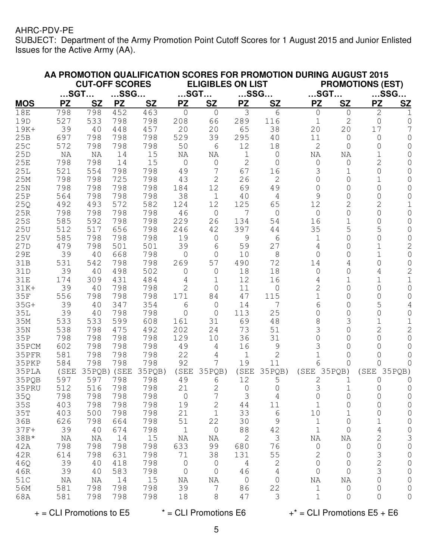SUBJECT: Department of the Army Promotion Point Cutoff Scores for 1 August 2015 and Junior Enlisted Issues for the Active Army (AA).

|               |                        |            |             |            |                             |                    |                      | AA PROMOTION QUALIFICATION SCORES FOR PROMOTION DURING AUGUST 2015 |                             |                     |                               |                |
|---------------|------------------------|------------|-------------|------------|-----------------------------|--------------------|----------------------|--------------------------------------------------------------------|-----------------------------|---------------------|-------------------------------|----------------|
|               | <b>CUT-OFF SCORES</b>  |            |             |            | <b>ELIGIBLES ON LIST</b>    |                    |                      |                                                                    | <b>PROMOTIONS (EST)</b>     |                     |                               |                |
|               | $$ SSG $$<br>$$ SGT $$ |            |             |            | $$ SGT $$                   |                    | $$ SSG $$            |                                                                    | $$ SGT $$                   |                     | $$ SSG $$                     |                |
| <b>MOS</b>    | <b>PZ</b>              | <b>SZ</b>  | <b>PZ</b>   | <b>SZ</b>  | <b>PZ</b>                   | <b>SZ</b>          | <b>PZ</b>            | <b>SZ</b>                                                          | <b>PZ</b>                   | <b>SZ</b>           | <b>PZ</b>                     | S <sub>Z</sub> |
| <b>18E</b>    | 798                    | 798        | 452         | 463        | $\overline{0}$              | $\mathbf 0$        | 3                    | 6                                                                  | 0                           | $\overline{0}$      | $\mathbf{2}$                  | ı              |
| 19D           | 527                    | 533        | 798         | 798        | 208                         | 66                 | 289                  | 116                                                                | $\mathbf 1$                 | $\mathbf{2}$        | 0                             | 0              |
| 19K+          | 39                     | 40         | 448         | 457        | 20                          | 20                 | 65                   | 38                                                                 | 20                          | 20                  | 17                            |                |
| 25B           | 697                    | 798        | 798         | 798        | 529                         | 39                 | 295                  | 40                                                                 | 11                          | $\overline{0}$      | 0                             | 0              |
| 25C           | 572                    | 798        | 798         | 798        | 50                          | 6                  | 12                   | 18                                                                 | $\mathbf{2}$                | 0                   | 0                             | 0              |
| 25D           | NA                     | NA         | 14          | 15         | NA                          | NA                 | 1                    | 0                                                                  | NA                          | NA                  | 1                             | 0              |
| 25E           | 798                    | 798        | 14          | 15         | $\overline{0}$              | $\mathsf{O}$       | $\overline{2}$       | 0                                                                  | $\mathsf{O}$                | $\mathsf{O}$        | $\overline{2}$                | 0              |
| 25L           | 521                    | 554        | 798         | 798        | 49                          | 7                  | 67                   | 16                                                                 | 3                           | $\mathbf 1$         | $\overline{O}$                | 0              |
| 25M           | 798                    | 798        | 725         | 798        | 43                          | $\mathbf{2}$       | 26                   | $\overline{2}$                                                     | $\overline{0}$              | 0                   | $\mathbf 1$                   | 0              |
| 25N           | 798                    | 798        | 798         | 798        | 184                         | 12                 | 69                   | 49                                                                 | $\overline{0}$              | 0                   | 0                             | 0              |
| 25P           | 564                    | 798        | 798         | 798        | 38                          | $\mathbf 1$        | 40                   | 4                                                                  | 9                           | 0                   | 0                             | 0              |
| 25Q           | 492                    | 493        | 572         | 582        | 124                         | 12                 | 125                  | 65                                                                 | 12                          | 2                   | 2                             | 1              |
| 25R           | 798                    | 798        | 798         | 798        | 46                          | $\mathsf{O}$       | 7                    | $\overline{0}$                                                     | $\mathsf{O}$                | 0                   | 0                             | 0              |
| 25S           | 585                    | 592        | 798         | 798        | 229                         | 26                 | 134                  | 54                                                                 | 16                          | $\mathbf 1$         | 0                             | 0              |
| 25U           | 512                    | 517        | 656         | 798        | 246                         | 42                 | 397                  | 44                                                                 | 35                          | 5                   | 5                             | 0              |
| 25V           | 585                    | 798        | 798         | 798        | 19                          | 0                  | 9                    | 6                                                                  | 1                           | 0                   | 0                             | 0              |
| 27D           | 479                    | 798        | 501         | 501        | 39                          | 6                  | 59                   | 27                                                                 | 4                           | 0                   | 1                             | $\overline{2}$ |
| 29E           | 39                     | 40         | 668         | 798        | $\overline{0}$              | 0                  | 10                   | 8                                                                  | $\overline{0}$              | $\Omega$            | 1                             | 0              |
| 31B           | 531                    | 542        | 798         | 798        | 269                         | 57                 | 490                  | 72                                                                 | 14                          | 4                   | 0                             | 0              |
| 31D           | 39                     | 40         | 498         | 502        | $\mathbf 0$                 | 0                  | 18                   | 18                                                                 | $\mathbf 0$                 | 0                   | 4                             | $\overline{2}$ |
| 31E           | 174                    | 309        | 431         | 484        | 4                           | 1                  | 12                   | 16                                                                 | 4                           | 1                   | 1                             | 1              |
| $31K+$        | 39                     | 40         | 798         | 798        | 2                           | 0                  | 11                   | 0                                                                  | $\overline{2}$              | 0                   | $\Omega$                      | 0              |
| 35F           | 556                    | 798        | 798         | 798        | 171                         | 84                 | 47                   | 115                                                                | 1                           | $\Omega$            | $\Omega$                      | 0              |
| $35G+$        | 39                     | 40         | 347         | 354        | 6                           | 0                  | 14                   | 7                                                                  | 6                           | $\Omega$            | 5                             | 4              |
| <b>35L</b>    | 39                     | 40         | 798         | 798        | $\overline{0}$              | $\overline{0}$     | 113                  | 25                                                                 | $\Omega$                    | $\Omega$            | $\Omega$                      | 0              |
| 35M           | 533                    | 533        | 599         | 608        | 161                         | 31                 | 69                   | 48                                                                 | 8                           | 3                   | 1                             | 1              |
| 35N           | 538                    | 798        | 475         | 492        | 202                         | 24                 | 73                   | 51                                                                 | 3                           | $\Omega$            | $\overline{2}$                | $\overline{2}$ |
| 35P           | 798                    | 798        | 798         | 798        | 129                         | 10                 | 36                   | 31                                                                 | 0                           | $\cap$              | $\Omega$                      | 0              |
| 35PCM         | 602                    | 798        | 798         | 798        | 49                          | 4                  | 16                   | 9                                                                  | 3                           | $\cap$              | $\cap$                        | 0              |
| 35PFR         | 581                    | 798        | 798         | 798        | 22                          | 4                  | 1                    | $\overline{2}$                                                     | 1                           | 0                   | $\Omega$                      | 0              |
| 35PKP         | 584                    | 798        | 798         | 798        | 92                          | 7                  | 19                   | 11                                                                 | 6                           | 0                   | Ω                             | Ω              |
| 35PLA         | (SEE)                  |            | 35PQB) (SEE | 35PQB)     | (SEE                        | 35PQB)             | (SEE                 | 35PQB)                                                             | (SEE)                       | $35PQB$ )           | (SEE                          | 35PQB)         |
| 35PQB         | 597                    | 597        | 798         | 798        | 49                          | 6                  | 12                   | 5                                                                  | 2                           | 1                   | 0                             | $\cup$         |
| 35PRU         | 512                    | 516        | 798         | 798        | 21                          | $\overline{c}$     | $\mathsf{O}$         | $\mathsf{O}$                                                       | З                           | $\mathbf 1$         | 0                             | 0              |
| 35Q           | 798                    | 798        | 798         | 798        | $\mathbb O$                 | 7                  | 3                    | 4                                                                  | $\mathsf O$                 | 0                   | 0                             | 0              |
| 35S           | 403                    | 798        | 798<br>798  | 798        | 19                          | $\sqrt{2}$         | 44                   | 11                                                                 | $\mathbf 1$                 | 0                   | 0                             | 0              |
| 35T           | 403<br>626             | 500<br>798 | 664         | 798<br>798 | 21<br>51                    | $\mathbf 1$<br>22  | 33<br>30             | 6<br>$\mathsf 9$                                                   | $10$<br>$\mathbf 1$         | $\mathbf 1$         | $\circledcirc$<br>$\mathbf 1$ | 0              |
| 36B<br>$37F+$ | 39                     |            | 674         | 798        | $1\,$                       |                    |                      |                                                                    | $1\,$                       | $\mathsf O$         |                               | 0              |
| $38B*$        | NA                     | 40<br>NA   | 14          | 15         | NA                          | $\mathsf{O}$<br>NA | 88<br>$\mathbf{2}$   | 42<br>3                                                            |                             | $\mathsf{O}\xspace$ | 4<br>$\overline{c}$           | 0              |
|               | 798                    | 798        | 798         | 798        | 633                         | 99                 | 680                  | 76                                                                 | NA                          | NA                  | $\mathbf 0$                   | 3              |
| 42A<br>42R    | 614                    | 798        | 631         | 798        | 71                          | 38                 | 131                  |                                                                    | $\mathsf O$<br>$\sqrt{2}$   | $\mathbb O$         |                               | 0              |
|               | 39                     |            |             |            |                             |                    |                      | 55                                                                 |                             | 0                   | 3                             | 0              |
| 46Q<br>46R    | 39                     | 40<br>40   | 418<br>583  | 798<br>798 | $\mathsf{O}$<br>$\mathbf 0$ | $\mathbf 0$<br>0   | $\overline{4}$<br>46 | 2<br>4                                                             | $\mathsf{O}$<br>$\mathsf O$ | 0<br>0              | $\overline{c}$<br>3           | 0<br>0         |
| 51C           | NA                     | NA         | 14          | 15         | NA                          | NA                 | 0                    | 0                                                                  | NA                          | ΝA                  | $\mathsf{O}$                  |                |
| 56M           | 581                    | 798        | 798         | 798        | 39                          | 7                  | 86                   | 22                                                                 | $\mathbf 1$                 | $\mathsf{O}$        | 0                             | 0<br>0         |
| 68A           | 581                    | 798        | 798         | 798        | 18                          | 8                  | 47                   | $\mathcal{S}$                                                      | $\mathbf 1$                 | 0                   | 0                             | 0              |
|               |                        |            |             |            |                             |                    |                      |                                                                    |                             |                     |                               |                |

 $+$  = CLI Promotions to E5  $*$  = CLI Promotions E6  $+$   $*$  = CLI Promotions E5 + E6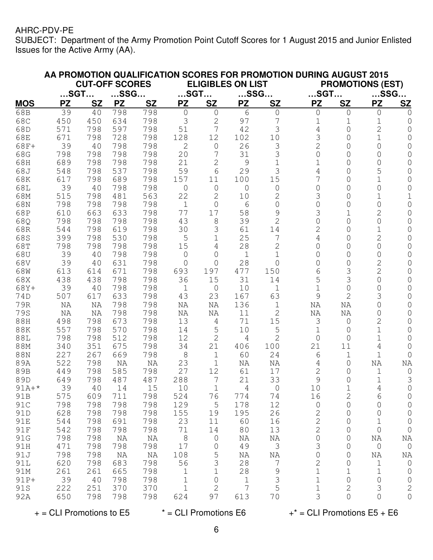SUBJECT: Department of the Army Promotion Point Cutoff Scores for 1 August 2015 and Junior Enlisted Issues for the Active Army (AA).

|             |                       |           |            |            |                          |                   |                 |                | AA PROMOTION QUALIFICATION SCORES FOR PROMOTION DURING AUGUST 2015 |                           |                |                |
|-------------|-----------------------|-----------|------------|------------|--------------------------|-------------------|-----------------|----------------|--------------------------------------------------------------------|---------------------------|----------------|----------------|
|             | <b>CUT-OFF SCORES</b> |           |            |            | <b>ELIGIBLES ON LIST</b> |                   |                 |                |                                                                    | <b>PROMOTIONS (EST)</b>   |                |                |
|             | $$ SGT $$             |           | $$ SSG $$  |            | $$ SGT $$                |                   | $$ SSG $$       |                | $$ SGT $$                                                          |                           | $$ SSG $$      |                |
| <b>MOS</b>  | <b>PZ</b>             | <b>SZ</b> | <b>PZ</b>  | <b>SZ</b>  | <b>PZ</b>                | <b>SZ</b>         | <b>PZ</b>       | <b>SZ</b>      | <b>PZ</b>                                                          | <b>SZ</b>                 | <b>PZ</b>      | S <sub>Z</sub> |
| 68B         | 39                    | 40        | 798        | 798        | $\circ$                  | $\overline{0}$    | 6               | $\mathsf{O}$   | 0                                                                  | $\mathbf 0$               | 0              | 0              |
| 68C         | 450                   | 450       | 634        | 798        | 3                        | $\overline{c}$    | 97              | 7              | $\mathbf 1$                                                        | $\mathbf 1$               | $\mathbf 1$    | 0              |
| 68D         | 571                   | 798       | 597        | 798        | 51                       | 7                 | 42              | 3              | 4                                                                  | 0                         | $\overline{2}$ | 0              |
| 68E         | 671                   | 798       | 728        | 798        | 128                      | 12                | 102             | 10             | 3                                                                  | 0                         | $\mathbf 1$    | 0              |
| 68F+        | 39                    | 40        | 798        | 798        | $\overline{2}$           | $\circ$           | 26              | 3              | $\overline{2}$                                                     | 0                         | 0              | 0              |
| 68G         | 798                   | 798       | 798        | 798        | 20                       | 7                 | 31              | 3              | 0                                                                  | 0                         | 0              | 0              |
| 68H         | 689                   | 798       | 798        | 798        | 21                       | $\overline{c}$    | $\mathsf{O}$    | 1              | 1                                                                  | 0                         | 0              | 0              |
| 68J         | 548                   | 798       | 537        | 798        | 59                       | 6                 | 29              | 3              | 4                                                                  | 0                         | 5              | 0              |
| 68K         | 617                   | 798       | 689        | 798        | 157                      | 11                | 100             | 15             | 7                                                                  | 0                         | 1              | 0              |
| 68L         | 39                    | 40        | 798        | 798        | 0                        | 0                 | 0               | 0              | 0                                                                  | 0                         | 0              | 0              |
| 68M         | 515                   | 798       | 481        | 563        | 22                       | $\overline{2}$    | 10              | 2              | 3                                                                  | 0                         | 1              |                |
| 68N         | 798                   | 798       | 798        | 798        | $\mathbf 1$              | $\Omega$          | 6               | 0              | 0                                                                  | 0                         | 0              | 0              |
| 68P         | 610                   | 663       | 633        | 798        | 77                       | 17                | 58              | 9              | 3                                                                  | 1                         | $\overline{2}$ | 0              |
| 68Q         | 798                   | 798       | 798        | 798        | 43                       | 8                 | 39              | $\overline{2}$ | $\Omega$                                                           | 0                         | $\overline{O}$ | O              |
| 68R         | 544                   | 798       | 619        | 798        | 30                       | 3                 | 61              | 14             | $\overline{2}$                                                     | 0                         | 1              | O              |
| 68S         | 399                   | 798       | 530        | 798        | 5                        | 1                 | 25              | 7              | 4                                                                  | 0                         | 2              | 0              |
| 68T         | 798                   | 798       | 798        | 798        | 15                       | 4                 | 28              | 2              | $\Omega$                                                           | 0                         | 0              | 0              |
| 68U         | 39                    | 40        | 798        | 798        | $\overline{0}$           | 0                 | 1               | 1              | $\Omega$                                                           | 0                         | 0              | 0              |
| 68V         | 39                    | 40        | 631        | 798        | 0                        | 0                 | 28              | 0              | 0                                                                  | $\Omega$                  | 2              | 0              |
| 68W         | 613                   | 614       | 671        | 798        | 693                      | 197               | 477             | 150            | 6                                                                  | 3                         | $\overline{2}$ | 0              |
| 68X         | 438                   | 438       | 798        | 798        | 36                       | 15                | 31              | 14             | 5                                                                  | 3                         | $\Omega$       | 0              |
| 68Y+<br>74D | 39<br>507             | 40        | 798<br>633 | 798<br>798 | 1<br>43                  | $\mathbf 0$<br>23 | 10<br>167       | 1<br>63        | 1<br>9                                                             | $\circ$<br>$\overline{2}$ | 0<br>3         | 0<br>0         |
| 79R         | NA                    | 617       | 798        | 798        |                          | NA                | 136             | 1              | NA                                                                 | NA                        | $\overline{O}$ | 0              |
| 79S         | ΝA                    | ΝA<br>ΝA  | 798        | 798        | ΝA<br>ΝA                 | ΝA                | 11              | $\overline{2}$ | NA                                                                 | NA                        | 0              | 0              |
| 88H         | 498                   | 798       | 673        | 798        | 13                       | 4                 | 71              | 15             | 3                                                                  | $\mathsf{O}$              | $\overline{2}$ | 0              |
| <b>88K</b>  | 557                   | 798       | 570        | 798        | 14                       | 5                 | 10              | 5              | 1                                                                  | $\circ$                   | 1              | 0              |
| 88L         | 798                   | 798       | 512        | 798        | 12                       | $\mathbf{2}$      | 4               | 2              | 0                                                                  | 0                         | 1              | 0              |
| 88M         | 340                   | 351       | 675        | 798        | 34                       | 21                | 406             | 100            | 21                                                                 | 11                        | 4              | 0              |
| 88N         | 227                   | 267       | 669        | 798        | $\,8\,$                  | $\mathbf 1$       | 60              | 24             | 6                                                                  | $\mathbf 1$               | $\mathbf{1}$   | 0              |
| 89A         | 522                   | 798       | NA         | NA         | 23                       | $\mathbf 1$       | ΝA              | NA             | 4                                                                  | 0                         | NA             | NA             |
| 89B         | 449                   | 798       | 585        | 798        | 27                       | 12                | 61              | 17             | $\mathbf{2}$                                                       | 0                         | $\mathbf 1$    | 0              |
| 89D         | 649                   | 798       | 487        | 487        | 288                      | 7                 | 21              | 33             | 9                                                                  | 0                         | $\mathbf 1$    | 3              |
| $91A+*$     | 39                    | 40        | 14         | 15         | 10                       | $\mathbf{1}$      | 4               | $\overline{0}$ | 10                                                                 |                           | $\overline{4}$ | 0              |
| 91B         | 575                   | 609       | 711        | 798        | 524                      | 76                | 774             | 74             | 16                                                                 | 2                         | 6              | 0              |
| 91C         | 798                   | 798       | 798        | 798        | 129                      | $\overline{5}$    | 178             | 12             | $\mathsf{O}$                                                       | 0                         | 0              | 0              |
| 91D         | 628                   | 798       | 798        | 798        | 155                      | 19                | 195             | 26             | 2                                                                  | 0                         | 0              | 0              |
| 91E         | 544                   | 798       | 691        | 798        | 23                       | 11                | 60              | 16             | $\overline{2}$                                                     | 0                         | 1              | 0              |
| 91F         | 542                   | 798       | 798        | 798        | 71                       | 14                | 80              | 13             | $\overline{2}$                                                     | 0                         | $\circ$        | $\mathbf 0$    |
| 91G         | 798                   | 798       | NA         | ΝA         | 8                        | $\circ$           | ΝA              | ΝA             | 0                                                                  | $\overline{0}$            | ΝA             | ΝA             |
| 91H         | 471                   | 798       | 798        | 798        | 17                       | $\circ$           | 49              | 3              | 3                                                                  | 0                         | $\mathbb O$    | $\mathsf{O}$   |
| 91J         | 798                   | 798       | ΝA         | ΝA         | 108                      | 5                 | ΝA              | ΝA             | 0                                                                  | 0                         | ΝA             | ΝA             |
| 91L         | 620                   | 798       | 683        | 798        | 56                       | $\mathfrak{Z}$    | 28              | $\overline{7}$ | 2                                                                  | 0                         | $\mathbf 1$    | $\overline{0}$ |
| 91M         | 261                   | 261       | 665        | 798        | $\mathbf{1}$             | $\mathbf 1$       | 28              | $\mathcal{G}$  | $\mathbf 1$                                                        | $\mathbf 1$               | 1              | $\overline{0}$ |
| 91P+        | 39                    | 40        | 798        | 798        | $\mathbf 1$              | $\overline{0}$    | $\mathbf{1}$    | $\mathfrak{Z}$ | $\mathbf 1$                                                        | $\circ$                   | 0              | $\overline{0}$ |
| 91S         | 222                   | 251       | 370        | 370        | $\mathbf 1$              | $\mathbf{2}$      | $7\phantom{.0}$ | 5              | $\mathbf 1$                                                        | 2                         | 3              | $\mathbf{2}$   |
| 92A         | 650                   | 798       | 798        | 798        | 624                      | 97                | 613             | 70             | 3                                                                  | $\mathsf{O}$              | $\overline{0}$ | $\overline{0}$ |

 $+$  = CLI Promotions to E5  $*$  = CLI Promotions E6  $+$   $*$  = CLI Promotions E5 + E6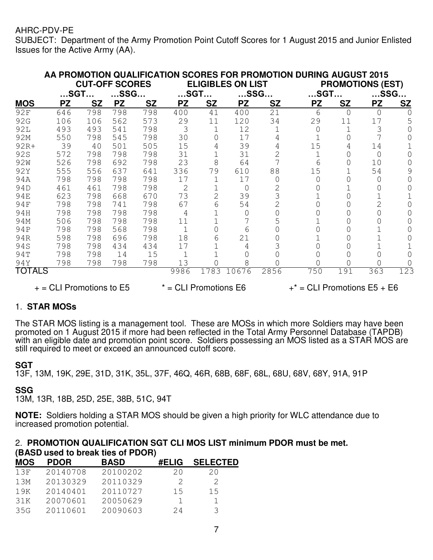SUBJECT: Department of the Army Promotion Point Cutoff Scores for 1 August 2015 and Junior Enlisted Issues for the Active Army (AA).

|                 |                                                                                         |                       |           |           |                          |                |           |           | AA PROMOTION QUALIFICATION SCORES FOR PROMOTION DURING AUGUST 2015 |           |                         |           |
|-----------------|-----------------------------------------------------------------------------------------|-----------------------|-----------|-----------|--------------------------|----------------|-----------|-----------|--------------------------------------------------------------------|-----------|-------------------------|-----------|
|                 |                                                                                         | <b>CUT-OFF SCORES</b> |           |           | <b>ELIGIBLES ON LIST</b> |                |           |           |                                                                    |           | <b>PROMOTIONS (EST)</b> |           |
|                 | …SGT…                                                                                   |                       | $$ SSG $$ |           |                          | $$ SGT $$      |           | $$ SSG $$ | $$ SGT $$                                                          |           | $$ SSG $$               |           |
| <b>MOS</b>      | <b>PZ</b>                                                                               | <b>SZ</b>             | <b>PZ</b> | <b>SZ</b> | <b>PZ</b>                | <b>SZ</b>      | <b>PZ</b> | <b>SZ</b> | <b>PZ</b>                                                          | <b>SZ</b> | <b>PZ</b>               | <b>SZ</b> |
| 92F             | 646                                                                                     | 798                   | 798       | 798       | 400                      | 41             | 400       | 21        | 6                                                                  | $\Omega$  | $\Omega$                |           |
| 92G             | 106                                                                                     | 106                   | 562       | 573       | 29                       | 11             | 120       | 34        | 29                                                                 | 11        | 17                      | 5         |
| <b>92L</b>      | 493                                                                                     | 493                   | 541       | 798       | 3                        |                | 12        |           | 0                                                                  |           | 3                       |           |
| 92M             | 550                                                                                     | 798                   | 545       | 798       | 30                       | 0              | 17        |           |                                                                    |           |                         |           |
| $92R+$          | 39                                                                                      | 40                    | 501       | 505       | 15                       | 4              | 39        |           | 15                                                                 | 4         | 14                      |           |
| 92S             | 572                                                                                     | 798                   | 798       | 798       | 31                       |                | 31        | 2         |                                                                    |           | $\Omega$                |           |
| 92 <sub>W</sub> | 526                                                                                     | 798                   | 692       | 798       | 23                       | 8              | 64        |           | 6                                                                  | 0         | 10                      |           |
| 92Y             | 555                                                                                     | 556                   | 637       | 641       | 336                      | 79             | 610       | 88        | 15                                                                 |           | 54                      |           |
| 94A             | 798                                                                                     | 798                   | 798       | 798       | 17                       |                | 17        |           |                                                                    |           | O                       |           |
| 94D             | 461                                                                                     | 461                   | 798       | 798       | 2                        |                | 0         |           |                                                                    |           |                         |           |
| <b>94E</b>      | 623                                                                                     | 798                   | 668       | 670       | 73                       | $\overline{2}$ | 39        | 3         |                                                                    |           |                         |           |
| 94F             | 798                                                                                     | 798                   | 741       | 798       | 67                       | 6              | 54        |           |                                                                    |           |                         |           |
| 94H             | 798                                                                                     | 798                   | 798       | 798       | 4                        |                | 0         |           |                                                                    |           |                         |           |
| 94M             | 506                                                                                     | 798                   | 798       | 798       | 11                       |                |           | 5         |                                                                    |           |                         |           |
| 94P             | 798                                                                                     | 798                   | 568       | 798       |                          |                | 6         |           |                                                                    |           |                         |           |
| 94R             | 598                                                                                     | 798                   | 696       | 798       | 18                       | 6              | 21        |           |                                                                    |           |                         |           |
| 94S             | 798                                                                                     | 798                   | 434       | 434       | 17                       |                | 4         |           |                                                                    |           |                         |           |
| 94T             | 798                                                                                     | 798                   | 14        | 15        |                          |                |           |           |                                                                    |           |                         |           |
| 94Y             | 798                                                                                     | 798                   | 798       | 798       | 13                       |                | 8         |           |                                                                    |           | Ω                       |           |
| <b>TOTALS</b>   |                                                                                         |                       |           |           | 9986                     | 1783           | 10676     | 2856      | 750                                                                | 191       | 363                     | 123       |
|                 | $+$ = CLI Promotions to E5<br>$*$ = CLI Promotions E6<br>$+$ * = CLI Promotions E5 + E6 |                       |           |           |                          |                |           |           |                                                                    |           |                         |           |

## 1. **STAR MOSs**

The STAR MOS listing is a management tool. These are MOSs in which more Soldiers may have been promoted on 1 August 2015 if more had been reflected in the Total Army Personnel Database (TAPDB) with an eligible date and promotion point score. Soldiers possessing an MOS listed as a STAR MOS are still required to meet or exceed an announced cutoff score.

#### **SGT**

13F, 13M, 19K, 29E, 31D, 31K, 35L, 37F, 46Q, 46R, 68B, 68F, 68L, 68U, 68V, 68Y, 91A, 91P

## **SSG**

13M, 13R, 18B, 25D, 25E, 38B, 51C, 94T

**NOTE:** Soldiers holding a STAR MOS should be given a high priority for WLC attendance due to increased promotion potential.

#### 2. **PROMOTION QUALIFICATION SGT CLI MOS LIST minimum PDOR must be met. (BASD used to break ties of PDOR)**

| <b>MOS</b> | <b>PDOR</b> | <b>BASD</b> | <b>#ELIG</b> | <b>SELECTED</b> |
|------------|-------------|-------------|--------------|-----------------|
| 13F        | 20140708    | 20100202    | 20           | 20              |
| 13M        | 20130329    | 20110329    | 2            | 2               |
| 19K        | 20140401    | 20110727    | 15           | 15              |
| 31K        | 20070601    | 20050629    |              |                 |
| 35G        | 20110601    | 20090603    | 24           | २               |
|            |             |             |              |                 |